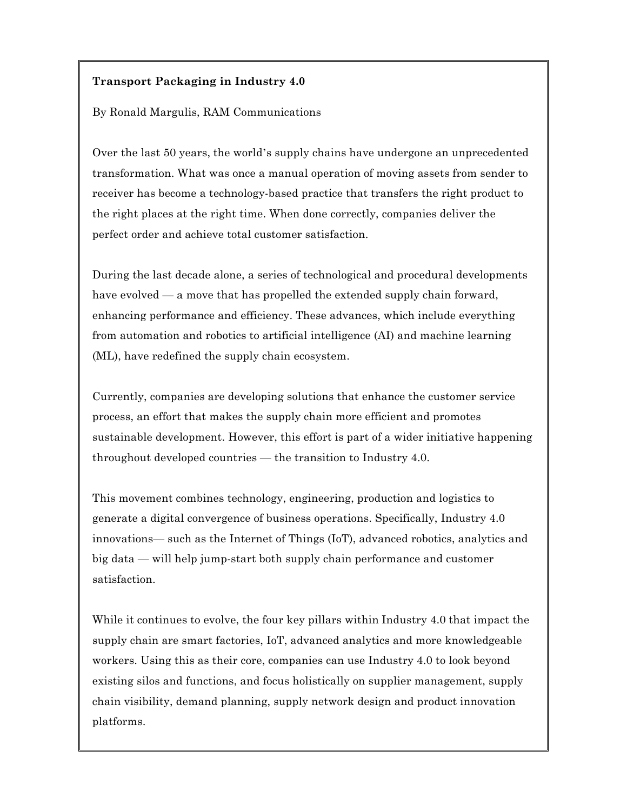# **Transport Packaging in Industry 4.0**

By Ronald Margulis, RAM Communications

Over the last 50 years, the world's supply chains have undergone an unprecedented transformation. What was once a manual operation of moving assets from sender to receiver has become a technology-based practice that transfers the right product to the right places at the right time. When done correctly, companies deliver the perfect order and achieve total customer satisfaction.

During the last decade alone, a series of technological and procedural developments have evolved — a move that has propelled the extended supply chain forward, enhancing performance and efficiency. These advances, which include everything from automation and robotics to artificial intelligence (AI) and machine learning (ML), have redefined the supply chain ecosystem.

Currently, companies are developing solutions that enhance the customer service process, an effort that makes the supply chain more efficient and promotes sustainable development. However, this effort is part of a wider initiative happening throughout developed countries — the transition to Industry 4.0.

This movement combines technology, engineering, production and logistics to generate a digital convergence of business operations. Specifically, Industry 4.0 innovations— such as the Internet of Things (IoT), advanced robotics, analytics and big data — will help jump-start both supply chain performance and customer satisfaction.

While it continues to evolve, the four key pillars within Industry 4.0 that impact the supply chain are smart factories, IoT, advanced analytics and more knowledgeable workers. Using this as their core, companies can use Industry 4.0 to look beyond existing silos and functions, and focus holistically on supplier management, supply chain visibility, demand planning, supply network design and product innovation platforms.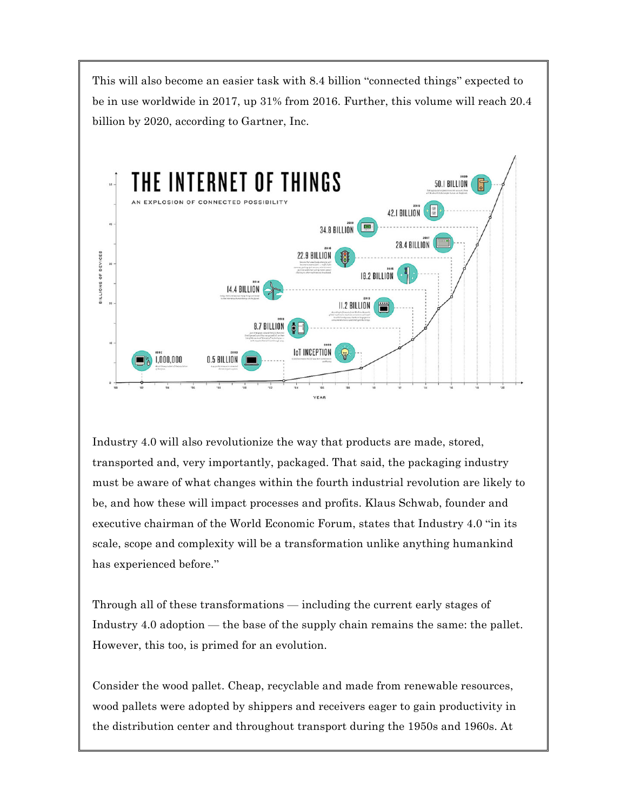This will also become an easier task with 8.4 billion "connected things" expected to be in use worldwide in 2017, up 31% from 2016. Further, this volume will reach 20.4 billion by 2020, according to Gartner, Inc.



Industry 4.0 will also revolutionize the way that products are made, stored, transported and, very importantly, packaged. That said, the packaging industry must be aware of what changes within the fourth industrial revolution are likely to be, and how these will impact processes and profits. Klaus Schwab, founder and executive chairman of the World Economic Forum, states that Industry 4.0 "in its scale, scope and complexity will be a transformation unlike anything humankind has experienced before."

Through all of these transformations — including the current early stages of Industry 4.0 adoption — the base of the supply chain remains the same: the pallet. However, this too, is primed for an evolution.

Consider the wood pallet. Cheap, recyclable and made from renewable resources, wood pallets were adopted by shippers and receivers eager to gain productivity in the distribution center and throughout transport during the 1950s and 1960s. At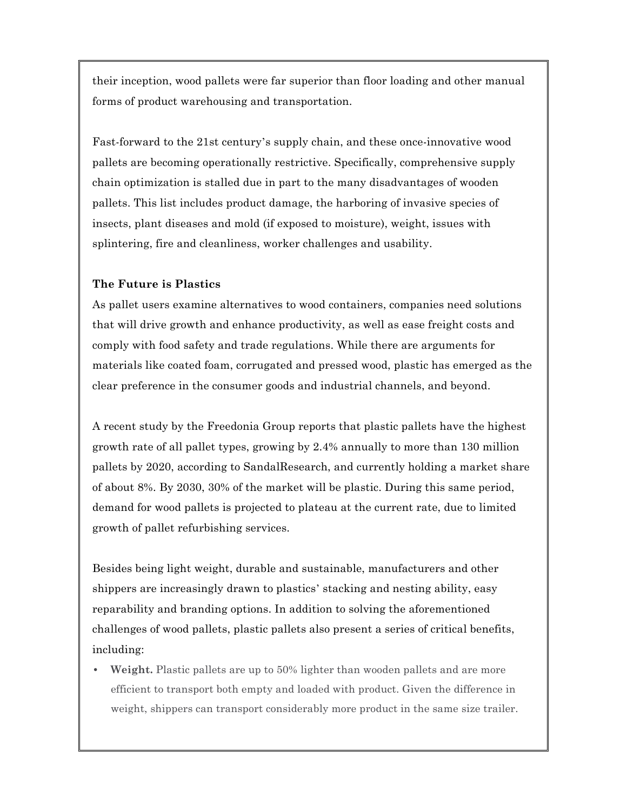their inception, wood pallets were far superior than floor loading and other manual forms of product warehousing and transportation.

Fast-forward to the 21st century's supply chain, and these once-innovative wood pallets are becoming operationally restrictive. Specifically, comprehensive supply chain optimization is stalled due in part to the many disadvantages of wooden pallets. This list includes product damage, the harboring of invasive species of insects, plant diseases and mold (if exposed to moisture), weight, issues with splintering, fire and cleanliness, worker challenges and usability.

# **The Future is Plastics**

As pallet users examine alternatives to wood containers, companies need solutions that will drive growth and enhance productivity, as well as ease freight costs and comply with food safety and trade regulations. While there are arguments for materials like coated foam, corrugated and pressed wood, plastic has emerged as the clear preference in the consumer goods and industrial channels, and beyond.

A recent study by the Freedonia Group reports that plastic pallets have the highest growth rate of all pallet types, growing by 2.4% annually to more than 130 million pallets by 2020, according to SandalResearch, and currently holding a market share of about 8%. By 2030, 30% of the market will be plastic. During this same period, demand for wood pallets is projected to plateau at the current rate, due to limited growth of pallet refurbishing services.

Besides being light weight, durable and sustainable, manufacturers and other shippers are increasingly drawn to plastics' stacking and nesting ability, easy reparability and branding options. In addition to solving the aforementioned challenges of wood pallets, plastic pallets also present a series of critical benefits, including:

**• Weight.** Plastic pallets are up to 50% lighter than wooden pallets and are more efficient to transport both empty and loaded with product. Given the difference in weight, shippers can transport considerably more product in the same size trailer.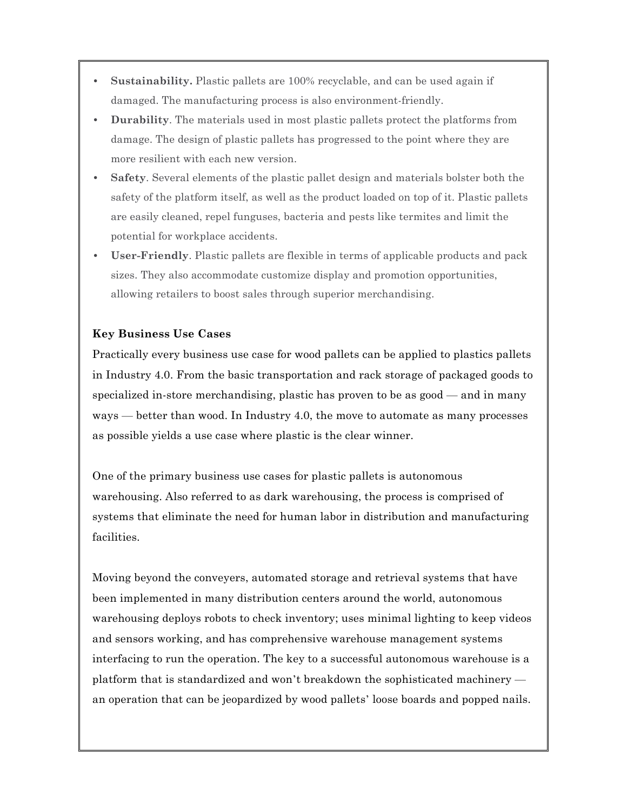- **• Sustainability.** Plastic pallets are 100% recyclable, and can be used again if damaged. The manufacturing process is also environment-friendly.
- **• Durability**. The materials used in most plastic pallets protect the platforms from damage. The design of plastic pallets has progressed to the point where they are more resilient with each new version.
- **• Safety**. Several elements of the plastic pallet design and materials bolster both the safety of the platform itself, as well as the product loaded on top of it. Plastic pallets are easily cleaned, repel funguses, bacteria and pests like termites and limit the potential for workplace accidents.
- **• User-Friendly**. Plastic pallets are flexible in terms of applicable products and pack sizes. They also accommodate customize display and promotion opportunities, allowing retailers to boost sales through superior merchandising.

## **Key Business Use Cases**

Practically every business use case for wood pallets can be applied to plastics pallets in Industry 4.0. From the basic transportation and rack storage of packaged goods to specialized in-store merchandising, plastic has proven to be as good — and in many ways — better than wood. In Industry 4.0, the move to automate as many processes as possible yields a use case where plastic is the clear winner.

One of the primary business use cases for plastic pallets is autonomous warehousing. Also referred to as dark warehousing, the process is comprised of systems that eliminate the need for human labor in distribution and manufacturing facilities.

Moving beyond the conveyers, automated storage and retrieval systems that have been implemented in many distribution centers around the world, autonomous warehousing deploys robots to check inventory; uses minimal lighting to keep videos and sensors working, and has comprehensive warehouse management systems interfacing to run the operation. The key to a successful autonomous warehouse is a platform that is standardized and won't breakdown the sophisticated machinery an operation that can be jeopardized by wood pallets' loose boards and popped nails.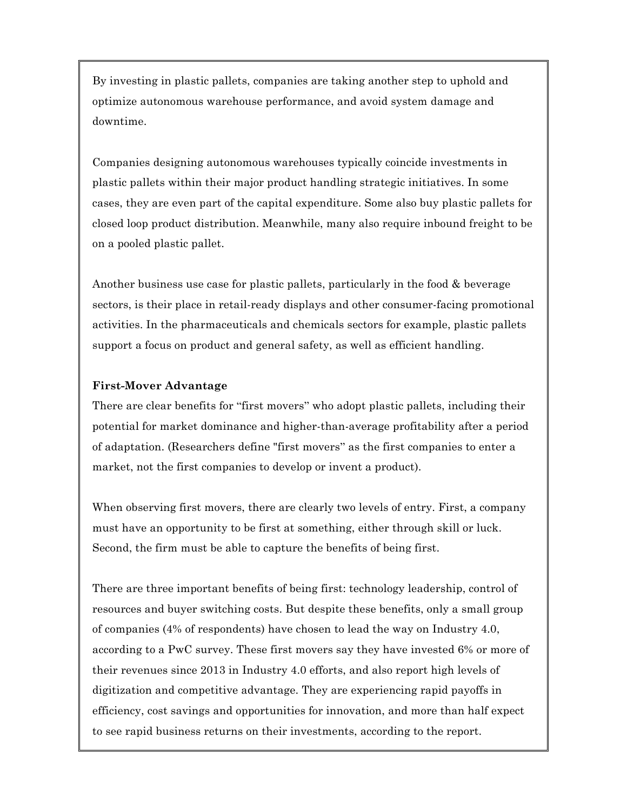By investing in plastic pallets, companies are taking another step to uphold and optimize autonomous warehouse performance, and avoid system damage and downtime.

Companies designing autonomous warehouses typically coincide investments in plastic pallets within their major product handling strategic initiatives. In some cases, they are even part of the capital expenditure. Some also buy plastic pallets for closed loop product distribution. Meanwhile, many also require inbound freight to be on a pooled plastic pallet.

Another business use case for plastic pallets, particularly in the food & beverage sectors, is their place in retail-ready displays and other consumer-facing promotional activities. In the pharmaceuticals and chemicals sectors for example, plastic pallets support a focus on product and general safety, as well as efficient handling.

#### **First-Mover Advantage**

There are clear benefits for "first movers" who adopt plastic pallets, including their potential for market dominance and higher-than-average profitability after a period of adaptation. (Researchers define "first movers" as the first companies to enter a market, not the first companies to develop or invent a product).

When observing first movers, there are clearly two levels of entry. First, a company must have an opportunity to be first at something, either through skill or luck. Second, the firm must be able to capture the benefits of being first.

There are three important benefits of being first: technology leadership, control of resources and buyer switching costs. But despite these benefits, only a small group of companies (4% of respondents) have chosen to lead the way on Industry 4.0, according to a PwC survey. These first movers say they have invested 6% or more of their revenues since 2013 in Industry 4.0 efforts, and also report high levels of digitization and competitive advantage. They are experiencing rapid payoffs in efficiency, cost savings and opportunities for innovation, and more than half expect to see rapid business returns on their investments, according to the report.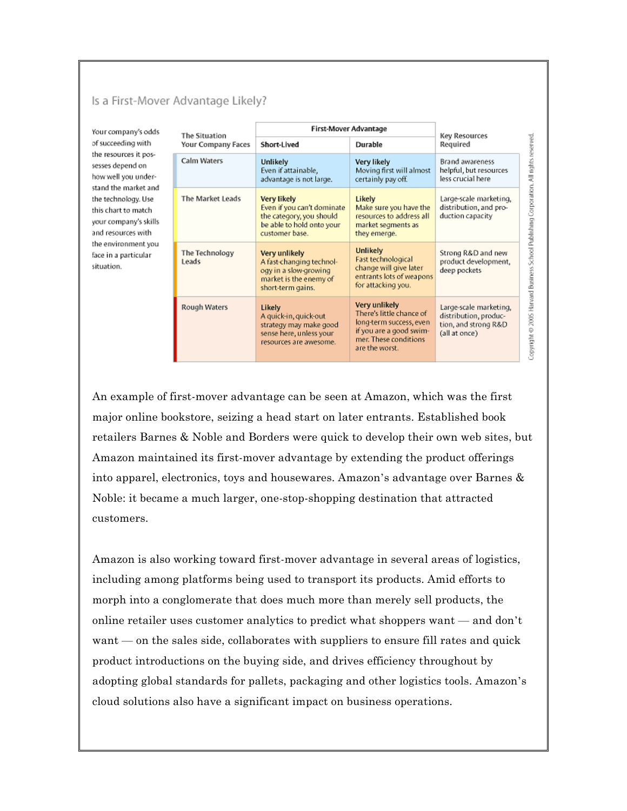### Is a First-Mover Advantage Likely?

Your company's odds of succeeding with the resources it possesses depend on how well you understand the market and the technology. Use this chart to match your company's skills and resources with the environment you face in a particular situation.

| The Situation<br>Your Company Faces | First-Mover Advantage                                                                                                |                                                                                                                                            | <b>Key Resources</b>                                                                     |
|-------------------------------------|----------------------------------------------------------------------------------------------------------------------|--------------------------------------------------------------------------------------------------------------------------------------------|------------------------------------------------------------------------------------------|
|                                     | Short-Lived                                                                                                          | Durable                                                                                                                                    | Required                                                                                 |
| Calm Waters                         | Unlikely<br>Even if attainable,<br>advantage is not large.                                                           | Very likely<br>Moving first will almost<br>certainly pay off.                                                                              | <b>Brand awareness</b><br>helpful, but resources<br>less crucial here                    |
| The Market Leads                    | Very likely<br>Even if you can't dominate<br>the category, you should<br>be able to hold onto your<br>customer base. | Likely<br>Make sure you have the<br>resources to address all<br>market segments as<br>they emerge.                                         | Large-scale marketing,<br>distribution, and pro-<br>duction capacity                     |
| The Technology<br>Leads             | Very unlikely<br>A fast-changing technol-<br>ogy in a slow-growing<br>market is the enemy of<br>short-term gains.    | <b>Unlikely</b><br>Fast technological<br>change will give later<br>entrants lots of weapons<br>for attacking you.                          | Strong R&D and new<br>product development,<br>deep pockets                               |
| Rough Waters                        | Likely<br>A quick-in, quick-out<br>strategy may make good<br>sense here, unless your<br>resources are awesome.       | Very unlikely<br>There's little chance of<br>long-term success, even<br>if you are a good swim-<br>mer. These conditions<br>are the worst. | Large-scale marketing,<br>distribution, produc-<br>tion, and strong R&D<br>(all at once) |

An example of first-mover advantage can be seen at Amazon, which was the first major online bookstore, seizing a head start on later entrants. Established book retailers Barnes & Noble and Borders were quick to develop their own web sites, but Amazon maintained its first-mover advantage by extending the product offerings into apparel, electronics, toys and housewares. Amazon's advantage over Barnes & Noble: it became a much larger, one-stop-shopping destination that attracted customers.

Amazon is also working toward first-mover advantage in several areas of logistics, including among platforms being used to transport its products. Amid efforts to morph into a conglomerate that does much more than merely sell products, the online retailer uses customer analytics to predict what shoppers want — and don't want — on the sales side, collaborates with suppliers to ensure fill rates and quick product introductions on the buying side, and drives efficiency throughout by adopting global standards for pallets, packaging and other logistics tools. Amazon's cloud solutions also have a significant impact on business operations.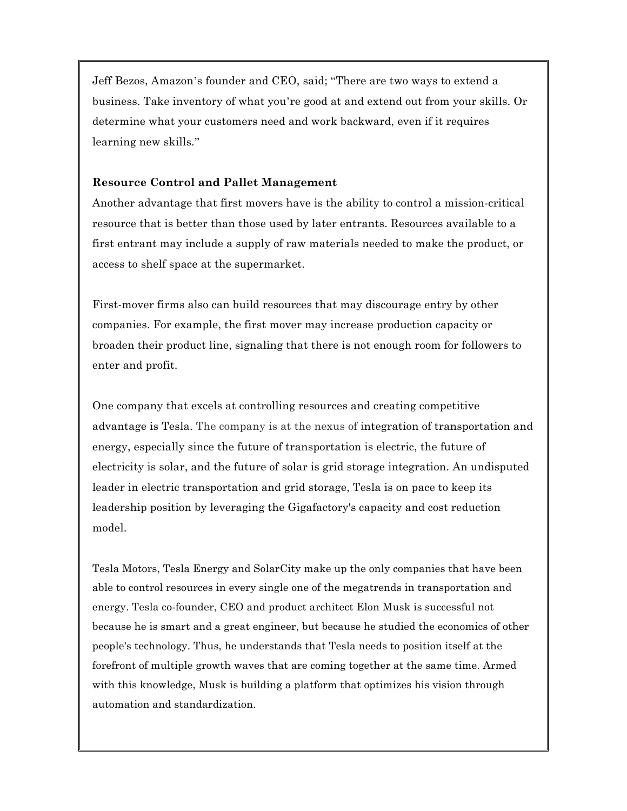Jeff Bezos, Amazon's founder and CEO, said; "There are two ways to extend a business. Take inventory of what you're good at and extend out from your skills. Or determine what your customers need and work backward, even if it requires learning new skills."

### **Resource Control and Pallet Management**

Another advantage that first movers have is the ability to control a mission-critical resource that is better than those used by later entrants. Resources available to a first entrant may include a supply of raw materials needed to make the product, or access to shelf space at the supermarket.

First-mover firms also can build resources that may discourage entry by other companies. For example, the first mover may increase production capacity or broaden their product line, signaling that there is not enough room for followers to enter and profit.

One company that excels at controlling resources and creating competitive advantage is Tesla. The company is at the nexus of integration of transportation and energy, especially since the future of transportation is electric, the future of electricity is solar, and the future of solar is grid storage integration. An undisputed leader in electric transportation and grid storage, Tesla is on pace to keep its leadership position by leveraging the Gigafactory's capacity and cost reduction model.

Tesla Motors, Tesla Energy and SolarCity make up the only companies that have been able to control resources in every single one of the megatrends in transportation and energy. Tesla co-founder, CEO and product architect Elon Musk is successful not because he is smart and a great engineer, but because he studied the economics of other people's technology. Thus, he understands that Tesla needs to position itself at the forefront of multiple growth waves that are coming together at the same time. Armed with this knowledge, Musk is building a platform that optimizes his vision through automation and standardization.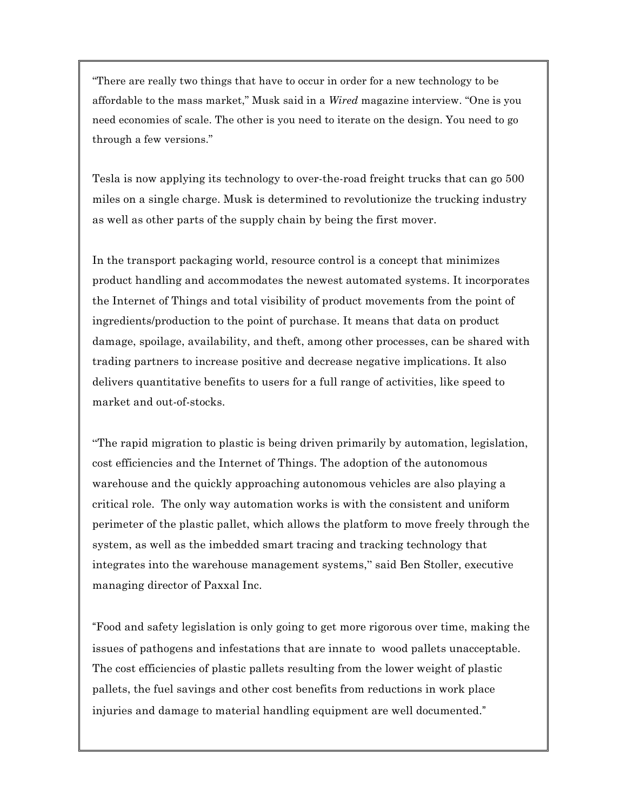"There are really two things that have to occur in order for a new technology to be affordable to the mass market," Musk said in a *Wired* magazine interview. "One is you need economies of scale. The other is you need to iterate on the design. You need to go through a few versions."

Tesla is now applying its technology to over-the-road freight trucks that can go 500 miles on a single charge. Musk is determined to revolutionize the trucking industry as well as other parts of the supply chain by being the first mover.

In the transport packaging world, resource control is a concept that minimizes product handling and accommodates the newest automated systems. It incorporates the Internet of Things and total visibility of product movements from the point of ingredients/production to the point of purchase. It means that data on product damage, spoilage, availability, and theft, among other processes, can be shared with trading partners to increase positive and decrease negative implications. It also delivers quantitative benefits to users for a full range of activities, like speed to market and out-of-stocks.

"The rapid migration to plastic is being driven primarily by automation, legislation, cost efficiencies and the Internet of Things. The adoption of the autonomous warehouse and the quickly approaching autonomous vehicles are also playing a critical role. The only way automation works is with the consistent and uniform perimeter of the plastic pallet, which allows the platform to move freely through the system, as well as the imbedded smart tracing and tracking technology that integrates into the warehouse management systems," said Ben Stoller, executive managing director of Paxxal Inc.

"Food and safety legislation is only going to get more rigorous over time, making the issues of pathogens and infestations that are innate to wood pallets unacceptable. The cost efficiencies of plastic pallets resulting from the lower weight of plastic pallets, the fuel savings and other cost benefits from reductions in work place injuries and damage to material handling equipment are well documented."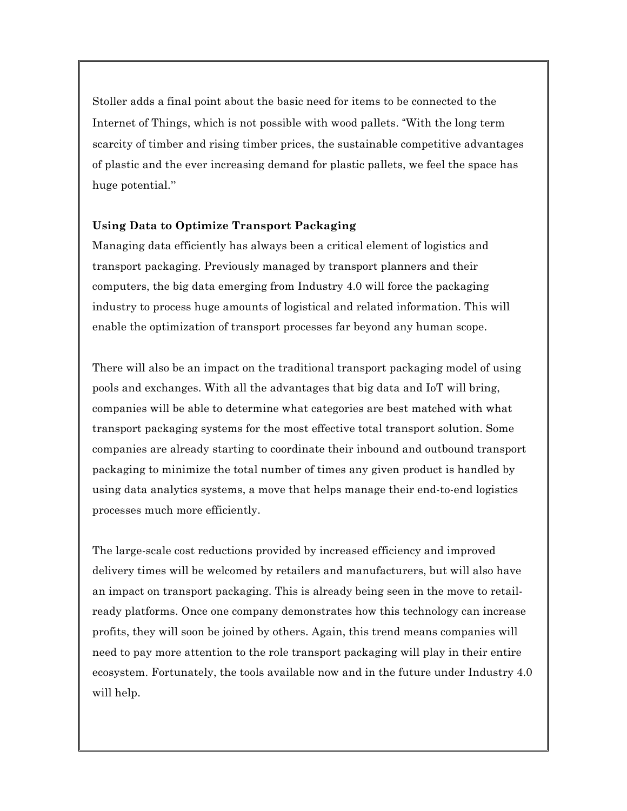Stoller adds a final point about the basic need for items to be connected to the Internet of Things, which is not possible with wood pallets. "With the long term scarcity of timber and rising timber prices, the sustainable competitive advantages of plastic and the ever increasing demand for plastic pallets, we feel the space has huge potential."

### **Using Data to Optimize Transport Packaging**

Managing data efficiently has always been a critical element of logistics and transport packaging. Previously managed by transport planners and their computers, the big data emerging from Industry 4.0 will force the packaging industry to process huge amounts of logistical and related information. This will enable the optimization of transport processes far beyond any human scope.

There will also be an impact on the traditional transport packaging model of using pools and exchanges. With all the advantages that big data and IoT will bring, companies will be able to determine what categories are best matched with what transport packaging systems for the most effective total transport solution. Some companies are already starting to coordinate their inbound and outbound transport packaging to minimize the total number of times any given product is handled by using data analytics systems, a move that helps manage their end-to-end logistics processes much more efficiently.

The large-scale cost reductions provided by increased efficiency and improved delivery times will be welcomed by retailers and manufacturers, but will also have an impact on transport packaging. This is already being seen in the move to retailready platforms. Once one company demonstrates how this technology can increase profits, they will soon be joined by others. Again, this trend means companies will need to pay more attention to the role transport packaging will play in their entire ecosystem. Fortunately, the tools available now and in the future under Industry 4.0 will help.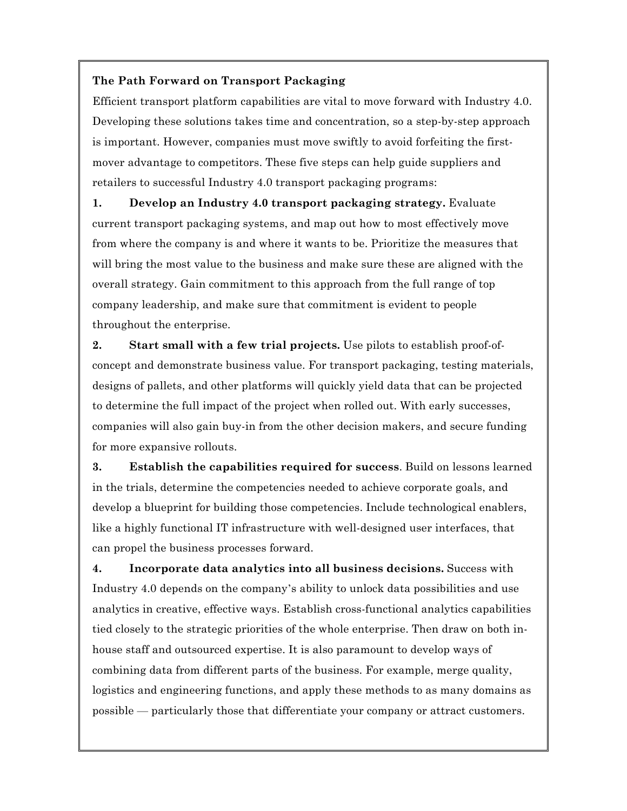## **The Path Forward on Transport Packaging**

Efficient transport platform capabilities are vital to move forward with Industry 4.0. Developing these solutions takes time and concentration, so a step-by-step approach is important. However, companies must move swiftly to avoid forfeiting the firstmover advantage to competitors. These five steps can help guide suppliers and retailers to successful Industry 4.0 transport packaging programs:

**1. Develop an Industry 4.0 transport packaging strategy.** Evaluate current transport packaging systems, and map out how to most effectively move from where the company is and where it wants to be. Prioritize the measures that will bring the most value to the business and make sure these are aligned with the overall strategy. Gain commitment to this approach from the full range of top company leadership, and make sure that commitment is evident to people throughout the enterprise.

**2. Start small with a few trial projects.** Use pilots to establish proof-ofconcept and demonstrate business value. For transport packaging, testing materials, designs of pallets, and other platforms will quickly yield data that can be projected to determine the full impact of the project when rolled out. With early successes, companies will also gain buy-in from the other decision makers, and secure funding for more expansive rollouts.

**3. Establish the capabilities required for success**. Build on lessons learned in the trials, determine the competencies needed to achieve corporate goals, and develop a blueprint for building those competencies. Include technological enablers, like a highly functional IT infrastructure with well-designed user interfaces, that can propel the business processes forward.

**4. Incorporate data analytics into all business decisions.** Success with Industry 4.0 depends on the company's ability to unlock data possibilities and use analytics in creative, effective ways. Establish cross-functional analytics capabilities tied closely to the strategic priorities of the whole enterprise. Then draw on both inhouse staff and outsourced expertise. It is also paramount to develop ways of combining data from different parts of the business. For example, merge quality, logistics and engineering functions, and apply these methods to as many domains as possible — particularly those that differentiate your company or attract customers.